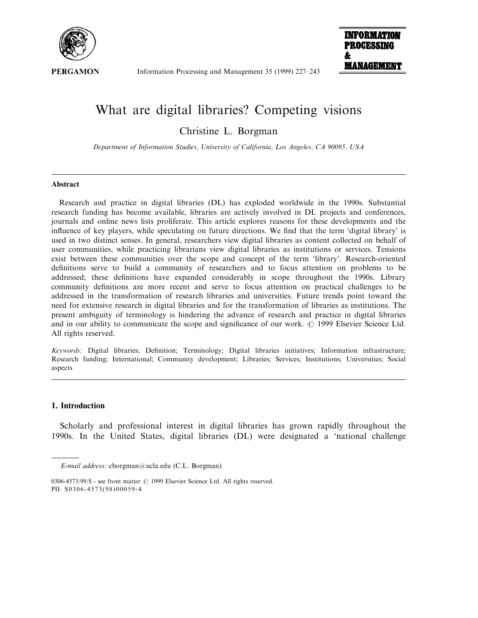

Information Processing and Management 35 (1999) 227–243

# What are digital libraries? Competing visions

Christine L. Borgman

Department of Information Studies, University of California, Los Angeles, CA 90095, USA

## **Abstract**

Research and practice in digital libraries (DL) has exploded worldwide in the 1990s. Substantial research funding has become available, libraries are actively involved in DL projects and conferences, journals and online news lists proliferate. This article explores reasons for these developments and the influence of key players, while speculating on future directions. We find that the term 'digital library' is used in two distinct senses. In general, researchers view digital libraries as content collected on behalf of user communities, while practicing librarians view digital libraries as institutions or services. Tensions exist between these communities over the scope and concept of the term 'library'. Research-oriented definitions serve to build a community of researchers and to focus attention on problems to be addressed; these definitions have expanded considerably in scope throughout the 1990s. Library community definitions are more recent and serve to focus attention on practical challenges to be addressed in the transformation of research libraries and universities. Future trends point toward the need for extensive research in digital libraries and for the transformation of libraries as institutions. The present ambiguity of terminology is hindering the advance of research and practice in digital libraries and in our ability to communicate the scope and significance of our work. © 1999 Elsevier Science Ltd. All rights reserved.

Keywords: Digital libraries; Definition; Terminology; Digital libraries initiatives; Information infrastructure; Research funding; International; Community development; Libraries; Services; Institutions; Universities; Social aspects

# 1. Introduction

Scholarly and professional interest in digital libraries has grown rapidly throughout the 1990s. In the United States, digital libraries (DL) were designated a 'national challenge

E-mail address: cborgman@ucla.edu (C.L. Borgman)

<sup>0306-4573/99/\$ -</sup> see front matter © 1999 Elsevier Science Ltd. All rights reserved. PII: S0306-4573(98)00059-4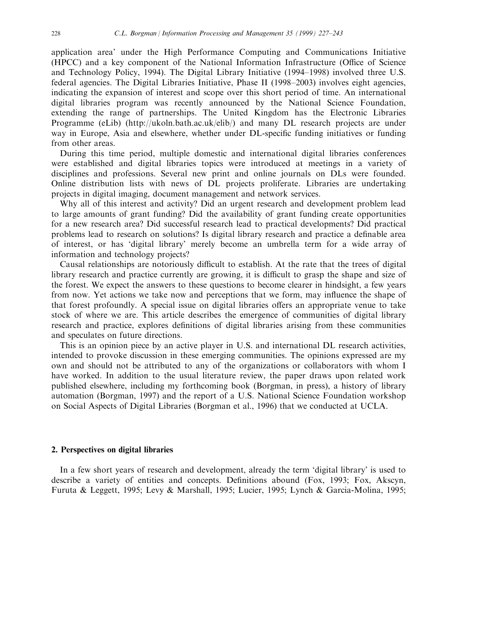application area' under the High Performance Computing and Communications Initiative (HPCC) and a key component of the National Information Infrastructure (Office of Science and Technology Policy, 1994). The Digital Library Initiative (1994–1998) involved three U.S. federal agencies. The Digital Libraries Initiative, Phase II (1998–2003) involves eight agencies, indicating the expansion of interest and scope over this short period of time. An international digital libraries program was recently announced by the National Science Foundation, extending the range of partnerships. The United Kingdom has the Electronic Libraries Programme (eLib) (http://ukoln.bath.ac.uk/elib/) and many DL research projects are under way in Europe, Asia and elsewhere, whether under DL-specific funding initiatives or funding from other areas.

During this time period, multiple domestic and international digital libraries conferences were established and digital libraries topics were introduced at meetings in a variety of disciplines and professions. Several new print and online journals on DLs were founded. Online distribution lists with news of DL projects proliferate. Libraries are undertaking projects in digital imaging, document management and network services.

Why all of this interest and activity? Did an urgent research and development problem lead to large amounts of grant funding? Did the availability of grant funding create opportunities for a new research area? Did successful research lead to practical developments? Did practical problems lead to research on solutions? Is digital library research and practice a definable area of interest, or has 'digital library' merely become an umbrella term for a wide array of information and technology projects?

Causal relationships are notoriously difficult to establish. At the rate that the trees of digital library research and practice currently are growing, it is difficult to grasp the shape and size of the forest. We expect the answers to these questions to become clearer in hindsight, a few years from now. Yet actions we take now and perceptions that we form, may influence the shape of that forest profoundly. A special issue on digital libraries offers an appropriate venue to take stock of where we are. This article describes the emergence of communities of digital library research and practice, explores definitions of digital libraries arising from these communities and speculates on future directions.

This is an opinion piece by an active player in U.S. and international DL research activities, intended to provoke discussion in these emerging communities. The opinions expressed are my own and should not be attributed to any of the organizations or collaborators with whom I have worked. In addition to the usual literature review, the paper draws upon related work published elsewhere, including my forthcoming book (Borgman, in press), a history of library automation (Borgman, 1997) and the report of a U.S. National Science Foundation workshop on Social Aspects of Digital Libraries (Borgman et al., 1996) that we conducted at UCLA.

## 2. Perspectives on digital libraries

In a few short years of research and development, already the term 'digital library' is used to describe a variety of entities and concepts. Definitions abound (Fox, 1993; Fox, Akscyn, Furuta & Leggett, 1995; Levy & Marshall, 1995; Lucier, 1995; Lynch & Garcia-Molina, 1995;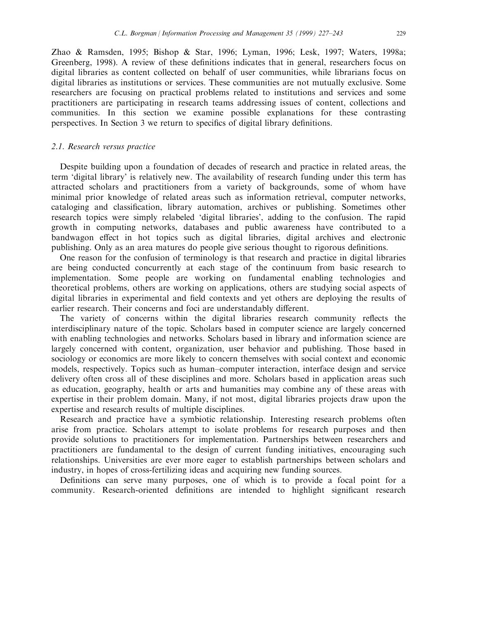Zhao & Ramsden, 1995; Bishop & Star, 1996; Lyman, 1996; Lesk, 1997; Waters, 1998a; Greenberg, 1998). A review of these definitions indicates that in general, researchers focus on digital libraries as content collected on behalf of user communities, while librarians focus on digital libraries as institutions or services. These communities are not mutually exclusive. Some researchers are focusing on practical problems related to institutions and services and some practitioners are participating in research teams addressing issues of content, collections and communities. In this section we examine possible explanations for these contrasting perspectives. In Section 3 we return to specifics of digital library definitions.

# 2.1. Research versus practice

Despite building upon a foundation of decades of research and practice in related areas, the term 'digital library' is relatively new. The availability of research funding under this term has attracted scholars and practitioners from a variety of backgrounds, some of whom have minimal prior knowledge of related areas such as information retrieval, computer networks, cataloging and classification, library automation, archives or publishing. Sometimes other research topics were simply relabeled 'digital libraries', adding to the confusion. The rapid growth in computing networks, databases and public awareness have contributed to a bandwagon effect in hot topics such as digital libraries, digital archives and electronic publishing. Only as an area matures do people give serious thought to rigorous definitions.

One reason for the confusion of terminology is that research and practice in digital libraries are being conducted concurrently at each stage of the continuum from basic research to implementation. Some people are working on fundamental enabling technologies and theoretical problems, others are working on applications, others are studying social aspects of digital libraries in experimental and field contexts and yet others are deploying the results of earlier research. Their concerns and foci are understandably different.

The variety of concerns within the digital libraries research community reflects the interdisciplinary nature of the topic. Scholars based in computer science are largely concerned with enabling technologies and networks. Scholars based in library and information science are largely concerned with content, organization, user behavior and publishing. Those based in sociology or economics are more likely to concern themselves with social context and economic models, respectively. Topics such as human–computer interaction, interface design and service delivery often cross all of these disciplines and more. Scholars based in application areas such as education, geography, health or arts and humanities may combine any of these areas with expertise in their problem domain. Many, if not most, digital libraries projects draw upon the expertise and research results of multiple disciplines.

Research and practice have a symbiotic relationship. Interesting research problems often arise from practice. Scholars attempt to isolate problems for research purposes and then provide solutions to practitioners for implementation. Partnerships between researchers and practitioners are fundamental to the design of current funding initiatives, encouraging such relationships. Universities are ever more eager to establish partnerships between scholars and industry, in hopes of cross-fertilizing ideas and acquiring new funding sources.

Definitions can serve many purposes, one of which is to provide a focal point for a community. Research-oriented definitions are intended to highlight significant research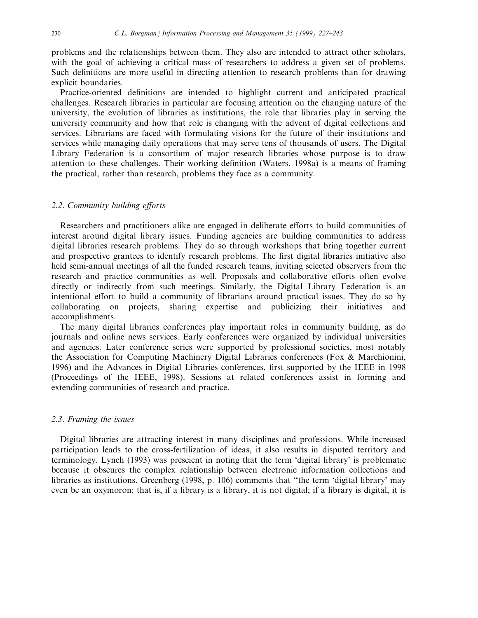problems and the relationships between them. They also are intended to attract other scholars, with the goal of achieving a critical mass of researchers to address a given set of problems. Such definitions are more useful in directing attention to research problems than for drawing explicit boundaries.

Practice-oriented definitions are intended to highlight current and anticipated practical challenges. Research libraries in particular are focusing attention on the changing nature of the university, the evolution of libraries as institutions, the role that libraries play in serving the university community and how that role is changing with the advent of digital collections and services. Librarians are faced with formulating visions for the future of their institutions and services while managing daily operations that may serve tens of thousands of users. The Digital Library Federation is a consortium of major research libraries whose purpose is to draw attention to these challenges. Their working definition (Waters, 1998a) is a means of framing the practical, rather than research, problems they face as a community.

# 2.2. Community building efforts

Researchers and practitioners alike are engaged in deliberate efforts to build communities of interest around digital library issues. Funding agencies are building communities to address digital libraries research problems. They do so through workshops that bring together current and prospective grantees to identify research problems. The first digital libraries initiative also held semi-annual meetings of all the funded research teams, inviting selected observers from the research and practice communities as well. Proposals and collaborative efforts often evolve directly or indirectly from such meetings. Similarly, the Digital Library Federation is an intentional effort to build a community of librarians around practical issues. They do so by collaborating on projects, sharing expertise and publicizing their initiatives and accomplishments.

The many digital libraries conferences play important roles in community building, as do journals and online news services. Early conferences were organized by individual universities and agencies. Later conference series were supported by professional societies, most notably the Association for Computing Machinery Digital Libraries conferences (Fox & Marchionini, 1996) and the Advances in Digital Libraries conferences, first supported by the IEEE in 1998 (Proceedings of the IEEE, 1998). Sessions at related conferences assist in forming and extending communities of research and practice.

### 2.3. Framing the issues

Digital libraries are attracting interest in many disciplines and professions. While increased participation leads to the cross-fertilization of ideas, it also results in disputed territory and terminology. Lynch (1993) was prescient in noting that the term 'digital library' is problematic because it obscures the complex relationship between electronic information collections and libraries as institutions. Greenberg (1998, p. 106) comments that "the term 'digital library' may even be an oxymoron: that is, if a library is a library, it is not digital; if a library is digital, it is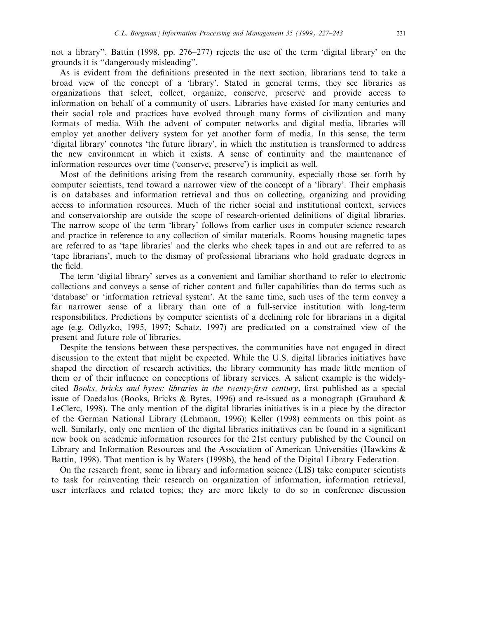not a library". Battin (1998, pp. 276–277) rejects the use of the term 'digital library' on the grounds it is "dangerously misleading".

As is evident from the definitions presented in the next section, librarians tend to take a broad view of the concept of a 'library'. Stated in general terms, they see libraries as organizations that select, collect, organize, conserve, preserve and provide access to information on behalf of a community of users. Libraries have existed for many centuries and their social role and practices have evolved through many forms of civilization and many formats of media. With the advent of computer networks and digital media, libraries will employ yet another delivery system for yet another form of media. In this sense, the term 'digital library' connotes 'the future library', in which the institution is transformed to address the new environment in which it exists. A sense of continuity and the maintenance of information resources over time ('conserve, preserve') is implicit as well.

Most of the definitions arising from the research community, especially those set forth by computer scientists, tend toward a narrower view of the concept of a 'library'. Their emphasis is on databases and information retrieval and thus on collecting, organizing and providing access to information resources. Much of the richer social and institutional context, services and conservatorship are outside the scope of research-oriented definitions of digital libraries. The narrow scope of the term 'library' follows from earlier uses in computer science research and practice in reference to any collection of similar materials. Rooms housing magnetic tapes are referred to as 'tape libraries' and the clerks who check tapes in and out are referred to as 'tape librarians', much to the dismay of professional librarians who hold graduate degrees in the field.

The term 'digital library' serves as a convenient and familiar shorthand to refer to electronic collections and conveys a sense of richer content and fuller capabilities than do terms such as 'database' or 'information retrieval system'. At the same time, such uses of the term convey a far narrower sense of a library than one of a full-service institution with long-term responsibilities. Predictions by computer scientists of a declining role for librarians in a digital age (e.g. Odlyzko, 1995, 1997; Schatz, 1997) are predicated on a constrained view of the present and future role of libraries.

Despite the tensions between these perspectives, the communities have not engaged in direct discussion to the extent that might be expected. While the U.S. digital libraries initiatives have shaped the direction of research activities, the library community has made little mention of them or of their influence on conceptions of library services. A salient example is the widelycited *Books*, bricks and bytes: libraries in the twenty-first century, first published as a special issue of Daedalus (Books, Bricks & Bytes, 1996) and re-issued as a monograph (Graubard & LeClerc, 1998). The only mention of the digital libraries initiatives is in a piece by the director of the German National Library (Lehmann, 1996); Keller (1998) comments on this point as well. Similarly, only one mention of the digital libraries initiatives can be found in a significant new book on academic information resources for the 21st century published by the Council on Library and Information Resources and the Association of American Universities (Hawkins  $\&$ Battin, 1998). That mention is by Waters (1998b), the head of the Digital Library Federation.

On the research front, some in library and information science (LIS) take computer scientists to task for reinventing their research on organization of information, information retrieval, user interfaces and related topics; they are more likely to do so in conference discussion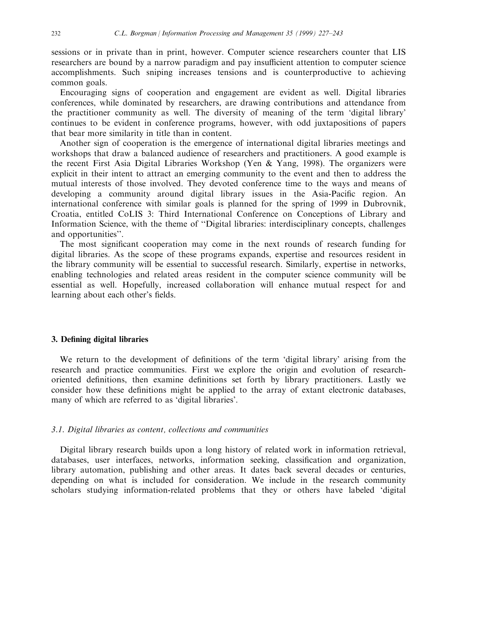sessions or in private than in print, however. Computer science researchers counter that LIS researchers are bound by a narrow paradigm and pay insufficient attention to computer science accomplishments. Such sniping increases tensions and is counterproductive to achieving common goals.

Encouraging signs of cooperation and engagement are evident as well. Digital libraries conferences, while dominated by researchers, are drawing contributions and attendance from the practitioner community as well. The diversity of meaning of the term 'digital library' continues to be evident in conference programs, however, with odd juxtapositions of papers that bear more similarity in title than in content.

Another sign of cooperation is the emergence of international digital libraries meetings and workshops that draw a balanced audience of researchers and practitioners. A good example is the recent First Asia Digital Libraries Workshop (Yen & Yang, 1998). The organizers were explicit in their intent to attract an emerging community to the event and then to address the mutual interests of those involved. They devoted conference time to the ways and means of developing a community around digital library issues in the Asia-Pacific region. An international conference with similar goals is planned for the spring of 1999 in Dubrovnik, Croatia, entitled CoLIS 3: Third International Conference on Conceptions of Library and Information Science, with the theme of "Digital libraries: interdisciplinary concepts, challenges and opportunities".

The most significant cooperation may come in the next rounds of research funding for digital libraries. As the scope of these programs expands, expertise and resources resident in the library community will be essential to successful research. Similarly, expertise in networks, enabling technologies and related areas resident in the computer science community will be essential as well. Hopefully, increased collaboration will enhance mutual respect for and learning about each other's fields.

## 3. Defining digital libraries

We return to the development of definitions of the term 'digital library' arising from the research and practice communities. First we explore the origin and evolution of researchoriented definitions, then examine definitions set forth by library practitioners. Lastly we consider how these definitions might be applied to the array of extant electronic databases, many of which are referred to as 'digital libraries'.

## 3.1. Digital libraries as content, collections and communities

Digital library research builds upon a long history of related work in information retrieval, databases, user interfaces, networks, information seeking, classification and organization, library automation, publishing and other areas. It dates back several decades or centuries, depending on what is included for consideration. We include in the research community scholars studying information-related problems that they or others have labeled 'digital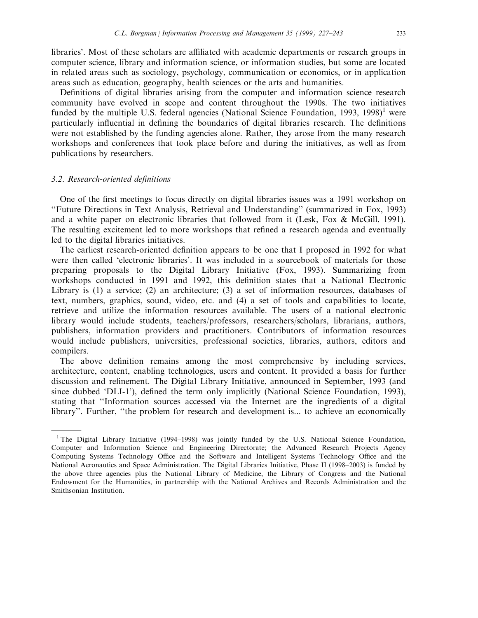libraries'. Most of these scholars are affiliated with academic departments or research groups in computer science, library and information science, or information studies, but some are located in related areas such as sociology, psychology, communication or economics, or in application areas such as education, geography, health sciences or the arts and humanities.

Definitions of digital libraries arising from the computer and information science research community have evolved in scope and content throughout the 1990s. The two initiatives funded by the multiple U.S. federal agencies (National Science Foundation, 1993, 1998)<sup>1</sup> were particularly influential in defining the boundaries of digital libraries research. The definitions were not established by the funding agencies alone. Rather, they arose from the many research workshops and conferences that took place before and during the initiatives, as well as from publications by researchers.

## 3.2. Research-oriented definitions

One of the first meetings to focus directly on digital libraries issues was a 1991 workshop on "Future Directions in Text Analysis, Retrieval and Understanding" (summarized in Fox, 1993) and a white paper on electronic libraries that followed from it (Lesk, Fox  $\&$  McGill, 1991). The resulting excitement led to more workshops that refined a research agenda and eventually led to the digital libraries initiatives.

The earliest research-oriented definition appears to be one that I proposed in 1992 for what were then called 'electronic libraries'. It was included in a sourcebook of materials for those preparing proposals to the Digital Library Initiative (Fox, 1993). Summarizing from workshops conducted in 1991 and 1992, this definition states that a National Electronic Library is  $(1)$  a service;  $(2)$  an architecture;  $(3)$  a set of information resources, databases of text, numbers, graphics, sound, video, etc. and (4) a set of tools and capabilities to locate, retrieve and utilize the information resources available. The users of a national electronic library would include students, teachers/professors, researchers/scholars, librarians, authors, publishers, information providers and practitioners. Contributors of information resources would include publishers, universities, professional societies, libraries, authors, editors and compilers.

The above definition remains among the most comprehensive by including services, architecture, content, enabling technologies, users and content. It provided a basis for further discussion and refinement. The Digital Library Initiative, announced in September, 1993 (and since dubbed 'DLI-1'), defined the term only implicitly (National Science Foundation, 1993), stating that "Information sources accessed via the Internet are the ingredients of a digital library". Further, "the problem for research and development is... to achieve an economically

<sup>&</sup>lt;sup>1</sup> The Digital Library Initiative (1994–1998) was jointly funded by the U.S. National Science Foundation, Computer and Information Science and Engineering Directorate; the Advanced Research Projects Agency Computing Systems Technology Office and the Software and Intelligent Systems Technology Office and the National Aeronautics and Space Administration. The Digital Libraries Initiative, Phase II (1998–2003) is funded by the above three agencies plus the National Library of Medicine, the Library of Congress and the National Endowment for the Humanities, in partnership with the National Archives and Records Administration and the Smithsonian Institution.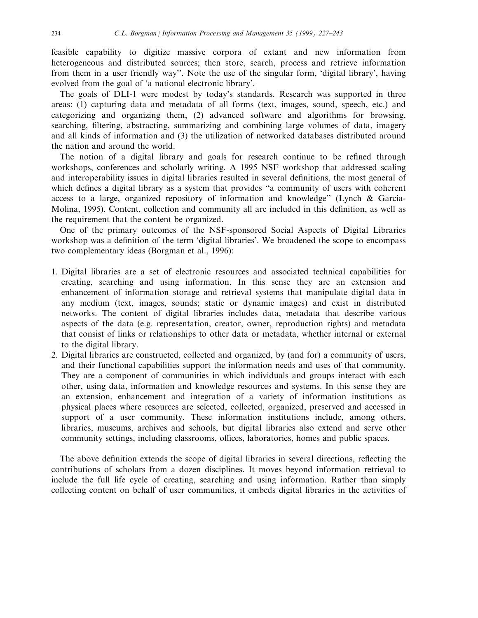feasible capability to digitize massive corpora of extant and new information from heterogeneous and distributed sources; then store, search, process and retrieve information from them in a user friendly way". Note the use of the singular form, 'digital library', having evolved from the goal of 'a national electronic library'.

The goals of DLI-1 were modest by today's standards. Research was supported in three areas: (1) capturing data and metadata of all forms (text, images, sound, speech, etc.) and categorizing and organizing them, (2) advanced software and algorithms for browsing, searching, filtering, abstracting, summarizing and combining large volumes of data, imagery and all kinds of information and (3) the utilization of networked databases distributed around the nation and around the world.

The notion of a digital library and goals for research continue to be refined through workshops, conferences and scholarly writing. A 1995 NSF workshop that addressed scaling and interoperability issues in digital libraries resulted in several definitions, the most general of which defines a digital library as a system that provides "a community of users with coherent access to a large, organized repository of information and knowledge" (Lynch & Garcia-Molina, 1995). Content, collection and community all are included in this definition, as well as the requirement that the content be organized.

One of the primary outcomes of the NSF-sponsored Social Aspects of Digital Libraries workshop was a definition of the term 'digital libraries'. We broadened the scope to encompass two complementary ideas (Borgman et al., 1996):

- 1. Digital libraries are a set of electronic resources and associated technical capabilities for creating, searching and using information. In this sense they are an extension and enhancement of information storage and retrieval systems that manipulate digital data in any medium (text, images, sounds; static or dynamic images) and exist in distributed networks. The content of digital libraries includes data, metadata that describe various aspects of the data (e.g. representation, creator, owner, reproduction rights) and metadata that consist of links or relationships to other data or metadata, whether internal or external to the digital library.
- 2. Digital libraries are constructed, collected and organized, by (and for) a community of users, and their functional capabilities support the information needs and uses of that community. They are a component of communities in which individuals and groups interact with each other, using data, information and knowledge resources and systems. In this sense they are an extension, enhancement and integration of a variety of information institutions as physical places where resources are selected, collected, organized, preserved and accessed in support of a user community. These information institutions include, among others, libraries, museums, archives and schools, but digital libraries also extend and serve other community settings, including classrooms, offices, laboratories, homes and public spaces.

The above definition extends the scope of digital libraries in several directions, reflecting the contributions of scholars from a dozen disciplines. It moves beyond information retrieval to include the full life cycle of creating, searching and using information. Rather than simply collecting content on behalf of user communities, it embeds digital libraries in the activities of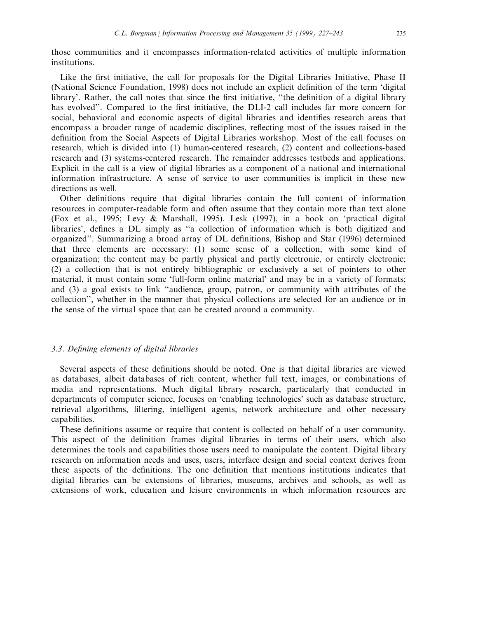those communities and it encompasses information-related activities of multiple information institutions.

Like the first initiative, the call for proposals for the Digital Libraries Initiative, Phase II (National Science Foundation, 1998) does not include an explicit definition of the term 'digital library'. Rather, the call notes that since the first initiative, "the definition of a digital library has evolved". Compared to the first initiative, the DLI-2 call includes far more concern for social, behavioral and economic aspects of digital libraries and identifies research areas that encompass a broader range of academic disciplines, reflecting most of the issues raised in the definition from the Social Aspects of Digital Libraries workshop. Most of the call focuses on research, which is divided into (1) human-centered research, (2) content and collections-based research and (3) systems-centered research. The remainder addresses testbeds and applications. Explicit in the call is a view of digital libraries as a component of a national and international information infrastructure. A sense of service to user communities is implicit in these new directions as well.

Other definitions require that digital libraries contain the full content of information resources in computer-readable form and often assume that they contain more than text alone (Fox et al., 1995; Levy & Marshall, 1995). Lesk (1997), in a book on 'practical digital libraries', defines a DL simply as "a collection of information which is both digitized and organized". Summarizing a broad array of DL definitions, Bishop and Star (1996) determined that three elements are necessary: (1) some sense of a collection, with some kind of organization; the content may be partly physical and partly electronic, or entirely electronic; (2) a collection that is not entirely bibliographic or exclusively a set of pointers to other material, it must contain some 'full-form online material' and may be in a variety of formats; and (3) a goal exists to link "audience, group, patron, or community with attributes of the collection", whether in the manner that physical collections are selected for an audience or in the sense of the virtual space that can be created around a community.

## 3.3. Defining elements of digital libraries

Several aspects of these definitions should be noted. One is that digital libraries are viewed as databases, albeit databases of rich content, whether full text, images, or combinations of media and representations. Much digital library research, particularly that conducted in departments of computer science, focuses on 'enabling technologies' such as database structure, retrieval algorithms, filtering, intelligent agents, network architecture and other necessary capabilities.

These definitions assume or require that content is collected on behalf of a user community. This aspect of the definition frames digital libraries in terms of their users, which also determines the tools and capabilities those users need to manipulate the content. Digital library research on information needs and uses, users, interface design and social context derives from these aspects of the definitions. The one definition that mentions institutions indicates that digital libraries can be extensions of libraries, museums, archives and schools, as well as extensions of work, education and leisure environments in which information resources are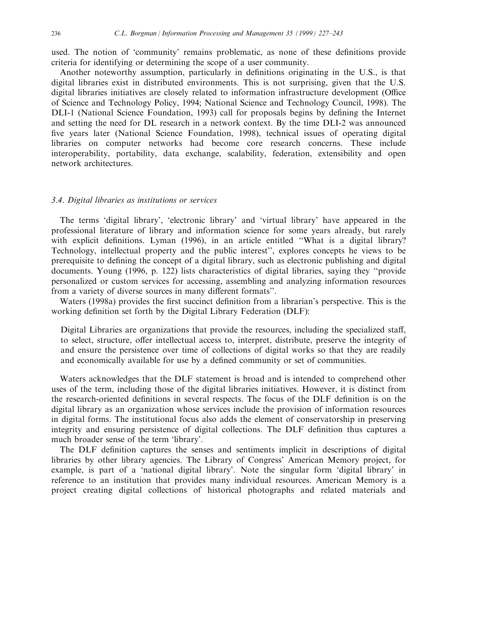used. The notion of 'community' remains problematic, as none of these definitions provide criteria for identifying or determining the scope of a user community.

Another noteworthy assumption, particularly in definitions originating in the U.S., is that digital libraries exist in distributed environments. This is not surprising, given that the U.S. digital libraries initiatives are closely related to information infrastructure development (Office of Science and Technology Policy, 1994; National Science and Technology Council, 1998). The DLI-1 (National Science Foundation, 1993) call for proposals begins by defining the Internet and setting the need for DL research in a network context. By the time DLI-2 was announced five years later (National Science Foundation, 1998), technical issues of operating digital libraries on computer networks had become core research concerns. These include interoperability, portability, data exchange, scalability, federation, extensibility and open network architectures.

## 3.4. Digital libraries as institutions or services

The terms 'digital library', 'electronic library' and 'virtual library' have appeared in the professional literature of library and information science for some years already, but rarely with explicit definitions. Lyman (1996), in an article entitled "What is a digital library? Technology, intellectual property and the public interest", explores concepts he views to be prerequisite to defining the concept of a digital library, such as electronic publishing and digital documents. Young (1996, p. 122) lists characteristics of digital libraries, saying they "provide personalized or custom services for accessing, assembling and analyzing information resources from a variety of diverse sources in many different formats".

Waters (1998a) provides the first succinct definition from a librarian's perspective. This is the working definition set forth by the Digital Library Federation (DLF):

Digital Libraries are organizations that provide the resources, including the specialized staff, to select, structure, offer intellectual access to, interpret, distribute, preserve the integrity of and ensure the persistence over time of collections of digital works so that they are readily and economically available for use by a defined community or set of communities.

Waters acknowledges that the DLF statement is broad and is intended to comprehend other uses of the term, including those of the digital libraries initiatives. However, it is distinct from the research-oriented definitions in several respects. The focus of the DLF definition is on the digital library as an organization whose services include the provision of information resources in digital forms. The institutional focus also adds the element of conservatorship in preserving integrity and ensuring persistence of digital collections. The DLF definition thus captures a much broader sense of the term 'library'.

The DLF definition captures the senses and sentiments implicit in descriptions of digital libraries by other library agencies. The Library of Congress' American Memory project, for example, is part of a 'national digital library'. Note the singular form 'digital library' in reference to an institution that provides many individual resources. American Memory is a project creating digital collections of historical photographs and related materials and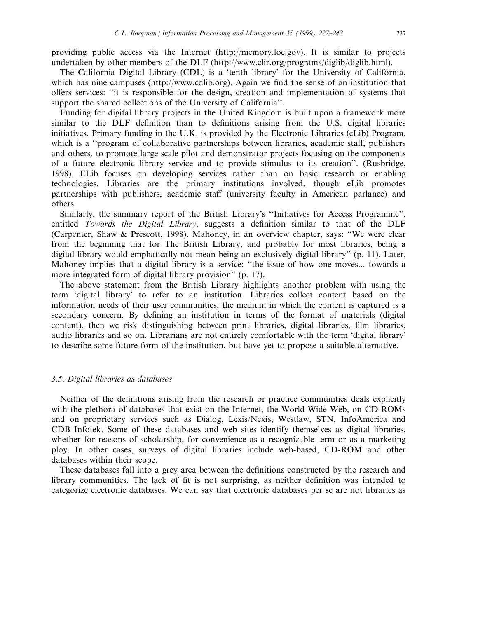providing public access via the Internet (http://memory.loc.gov). It is similar to projects undertaken by other members of the DLF (http://www.clir.org/programs/diglib/diglib.html).

The California Digital Library (CDL) is a 'tenth library' for the University of California, which has nine campuses (http://www.cdlib.org). Again we find the sense of an institution that offers services: "it is responsible for the design, creation and implementation of systems that support the shared collections of the University of California".

Funding for digital library projects in the United Kingdom is built upon a framework more similar to the DLF definition than to definitions arising from the U.S. digital libraries initiatives. Primary funding in the U.K. is provided by the Electronic Libraries (eLib) Program, which is a "program of collaborative partnerships between libraries, academic staff, publishers and others, to promote large scale pilot and demonstrator projects focusing on the components of a future electronic library service and to provide stimulus to its creation". (Rusbridge, 1998). ELib focuses on developing services rather than on basic research or enabling technologies. Libraries are the primary institutions involved, though eLib promotes partnerships with publishers, academic staff (university faculty in American parlance) and others.

Similarly, the summary report of the British Library's "Initiatives for Access Programme", entitled *Towards the Digital Library*, suggests a definition similar to that of the DLF (Carpenter, Shaw & Prescott, 1998). Mahoney, in an overview chapter, says: "We were clear from the beginning that for The British Library, and probably for most libraries, being a digital library would emphatically not mean being an exclusively digital library" (p. 11). Later, Mahoney implies that a digital library is a service: "the issue of how one moves... towards a more integrated form of digital library provision" (p. 17).

The above statement from the British Library highlights another problem with using the term 'digital library' to refer to an institution. Libraries collect content based on the information needs of their user communities; the medium in which the content is captured is a secondary concern. By defining an institution in terms of the format of materials (digital content), then we risk distinguishing between print libraries, digital libraries, film libraries, audio libraries and so on. Librarians are not entirely comfortable with the term 'digital library' to describe some future form of the institution, but have yet to propose a suitable alternative.

# 3.5. Digital libraries as databases

Neither of the definitions arising from the research or practice communities deals explicitly with the plethora of databases that exist on the Internet, the World-Wide Web, on CD-ROMs and on proprietary services such as Dialog, Lexis/Nexis, Westlaw, STN, InfoAmerica and CDB Infotek. Some of these databases and web sites identify themselves as digital libraries, whether for reasons of scholarship, for convenience as a recognizable term or as a marketing ploy. In other cases, surveys of digital libraries include web-based, CD-ROM and other databases within their scope.

These databases fall into a grey area between the definitions constructed by the research and library communities. The lack of fit is not surprising, as neither definition was intended to categorize electronic databases. We can say that electronic databases per se are not libraries as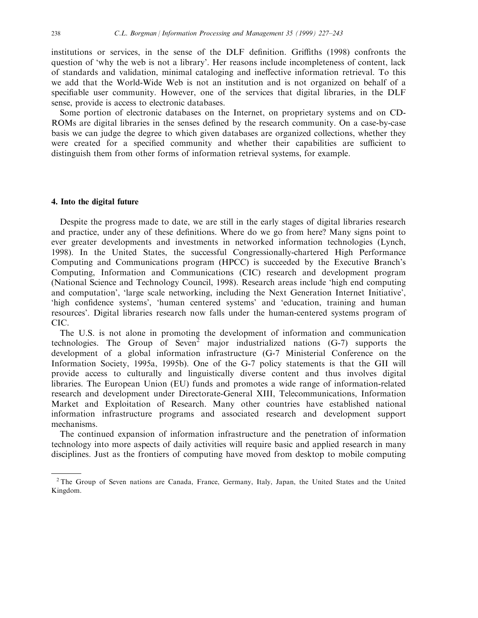institutions or services, in the sense of the DLF definition. Griffiths (1998) confronts the question of 'why the web is not a library'. Her reasons include incompleteness of content, lack of standards and validation, minimal cataloging and ineffective information retrieval. To this we add that the World-Wide Web is not an institution and is not organized on behalf of a specifiable user community. However, one of the services that digital libraries, in the DLF sense, provide is access to electronic databases.

Some portion of electronic databases on the Internet, on proprietary systems and on CD-ROMs are digital libraries in the senses defined by the research community. On a case-by-case basis we can judge the degree to which given databases are organized collections, whether they were created for a specified community and whether their capabilities are sufficient to distinguish them from other forms of information retrieval systems, for example.

### 4. Into the digital future

Despite the progress made to date, we are still in the early stages of digital libraries research and practice, under any of these definitions. Where do we go from here? Many signs point to ever greater developments and investments in networked information technologies (Lynch, 1998). In the United States, the successful Congressionally-chartered High Performance Computing and Communications program (HPCC) is succeeded by the Executive Branch's Computing, Information and Communications (CIC) research and development program (National Science and Technology Council, 1998). Research areas include 'high end computing and computation', 'large scale networking, including the Next Generation Internet Initiative', 'high confidence systems', 'human centered systems' and 'education, training and human resources'. Digital libraries research now falls under the human-centered systems program of CIC.

The U.S. is not alone in promoting the development of information and communication technologies. The Group of Seven<sup>2</sup> major industrialized nations  $(G-7)$  supports the development of a global information infrastructure (G-7 Ministerial Conference on the Information Society, 1995a, 1995b). One of the G-7 policy statements is that the GII will provide access to culturally and linguistically diverse content and thus involves digital libraries. The European Union (EU) funds and promotes a wide range of information-related research and development under Directorate-General XIII, Telecommunications, Information Market and Exploitation of Research. Many other countries have established national information infrastructure programs and associated research and development support mechanisms.

The continued expansion of information infrastructure and the penetration of information technology into more aspects of daily activities will require basic and applied research in many disciplines. Just as the frontiers of computing have moved from desktop to mobile computing

<sup>&</sup>lt;sup>2</sup> The Group of Seven nations are Canada, France, Germany, Italy, Japan, the United States and the United Kingdom.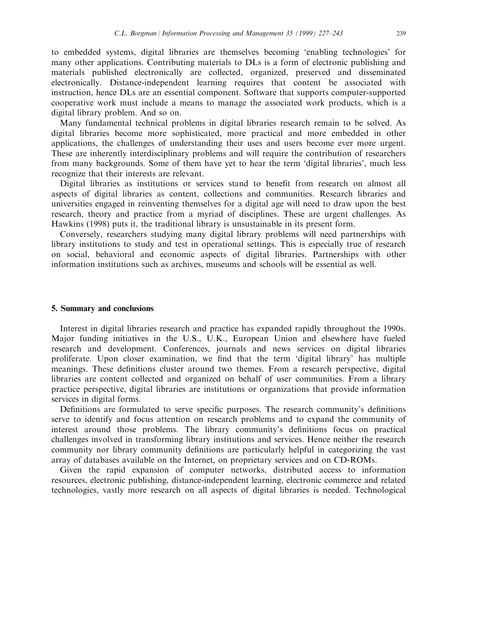to embedded systems, digital libraries are themselves becoming 'enabling technologies' for many other applications. Contributing materials to DLs is a form of electronic publishing and materials published electronically are collected, organized, preserved and disseminated electronically. Distance-independent learning requires that content be associated with instruction, hence DLs are an essential component. Software that supports computer-supported cooperative work must include a means to manage the associated work products, which is a digital library problem. And so on.

Many fundamental technical problems in digital libraries research remain to be solved. As digital libraries become more sophisticated, more practical and more embedded in other applications, the challenges of understanding their uses and users become ever more urgent. These are inherently interdisciplinary problems and will require the contribution of researchers from many backgrounds. Some of them have yet to hear the term 'digital libraries', much less recognize that their interests are relevant.

Digital libraries as institutions or services stand to benefit from research on almost all aspects of digital libraries as content, collections and communities. Research libraries and universities engaged in reinventing themselves for a digital age will need to draw upon the best research, theory and practice from a myriad of disciplines. These are urgent challenges. As Hawkins (1998) puts it, the traditional library is unsustainable in its present form.

Conversely, researchers studying many digital library problems will need partnerships with library institutions to study and test in operational settings. This is especially true of research on social, behavioral and economic aspects of digital libraries. Partnerships with other information institutions such as archives, museums and schools will be essential as well.

## 5. Summary and conclusions

Interest in digital libraries research and practice has expanded rapidly throughout the 1990s. Major funding initiatives in the U.S., U.K., European Union and elsewhere have fueled research and development. Conferences, journals and news services on digital libraries proliferate. Upon closer examination, we find that the term 'digital library' has multiple meanings. These definitions cluster around two themes. From a research perspective, digital libraries are content collected and organized on behalf of user communities. From a library practice perspective, digital libraries are institutions or organizations that provide information services in digital forms.

Definitions are formulated to serve specific purposes. The research community's definitions serve to identify and focus attention on research problems and to expand the community of interest around those problems. The library community's definitions focus on practical challenges involved in transforming library institutions and services. Hence neither the research community nor library community definitions are particularly helpful in categorizing the vast array of databases available on the Internet, on proprietary services and on CD-ROMs.

Given the rapid expansion of computer networks, distributed access to information resources, electronic publishing, distance-independent learning, electronic commerce and related technologies, vastly more research on all aspects of digital libraries is needed. Technological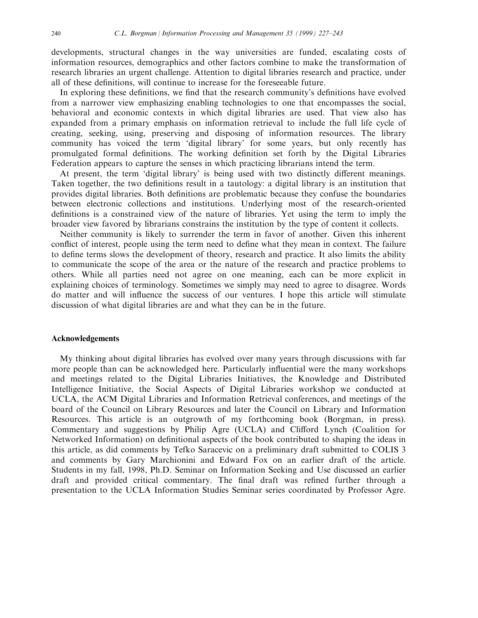developments, structural changes in the way universities are funded, escalating costs of information resources, demographics and other factors combine to make the transformation of research libraries an urgent challenge. Attention to digital libraries research and practice, under all of these definitions, will continue to increase for the foreseeable future.

In exploring these definitions, we find that the research community's definitions have evolved from a narrower view emphasizing enabling technologies to one that encompasses the social, behavioral and economic contexts in which digital libraries are used. That view also has expanded from a primary emphasis on information retrieval to include the full life cycle of creating, seeking, using, preserving and disposing of information resources. The library community has voiced the term 'digital library' for some years, but only recently has promulgated formal definitions. The working definition set forth by the Digital Libraries Federation appears to capture the senses in which practicing librarians intend the term.

At present, the term 'digital library' is being used with two distinctly different meanings. Taken together, the two definitions result in a tautology: a digital library is an institution that provides digital libraries. Both definitions are problematic because they confuse the boundaries between electronic collections and institutions. Underlying most of the research-oriented definitions is a constrained view of the nature of libraries. Yet using the term to imply the broader view favored by librarians constrains the institution by the type of content it collects.

Neither community is likely to surrender the term in favor of another. Given this inherent conflict of interest, people using the term need to define what they mean in context. The failure to define terms slows the development of theory, research and practice. It also limits the ability to communicate the scope of the area or the nature of the research and practice problems to others. While all parties need not agree on one meaning, each can be more explicit in explaining choices of terminology. Sometimes we simply may need to agree to disagree. Words do matter and will influence the success of our ventures. I hope this article will stimulate discussion of what digital libraries are and what they can be in the future.

# **Acknowledgements**

My thinking about digital libraries has evolved over many years through discussions with far more people than can be acknowledged here. Particularly influential were the many workshops and meetings related to the Digital Libraries Initiatives, the Knowledge and Distributed Intelligence Initiative, the Social Aspects of Digital Libraries workshop we conducted at UCLA, the ACM Digital Libraries and Information Retrieval conferences, and meetings of the board of the Council on Library Resources and later the Council on Library and Information Resources. This article is an outgrowth of my forthcoming book (Borgman, in press). Commentary and suggestions by Philip Agre (UCLA) and Clifford Lynch (Coalition for Networked Information) on definitional aspects of the book contributed to shaping the ideas in this article, as did comments by Tefko Saracevic on a preliminary draft submitted to COLIS 3 and comments by Gary Marchionini and Edward Fox on an earlier draft of the article. Students in my fall, 1998, Ph.D. Seminar on Information Seeking and Use discussed an earlier draft and provided critical commentary. The final draft was refined further through a presentation to the UCLA Information Studies Seminar series coordinated by Professor Agre.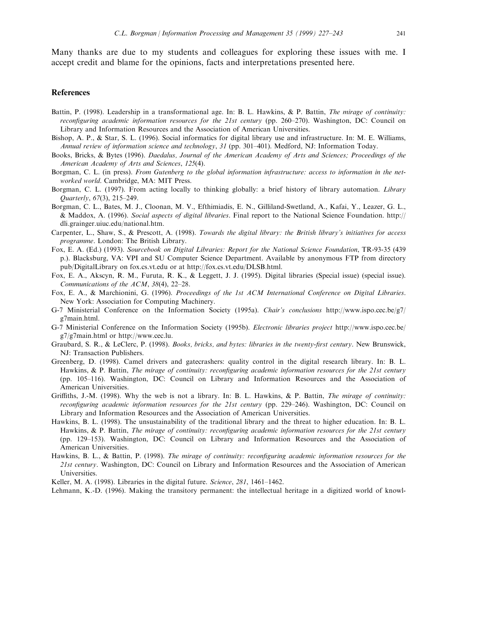Many thanks are due to my students and colleagues for exploring these issues with me. I accept credit and blame for the opinions, facts and interpretations presented here.

## **References**

- Battin, P. (1998). Leadership in a transformational age. In: B. L. Hawkins, & P. Battin, The mirage of continuity: reconfiguring academic information resources for the 21st century (pp. 260-270). Washington, DC: Council on Library and Information Resources and the Association of American Universities.
- Bishop, A. P., & Star, S. L. (1996). Social informatics for digital library use and infrastructure. In: M. E. Williams, Annual review of information science and technology, 31 (pp. 301-401). Medford, NJ: Information Today.
- Books, Bricks, & Bytes (1996). Daedalus, Journal of the American Academy of Arts and Sciences; Proceedings of the American Academy of Arts and Sciences, 125(4).
- Borgman, C. L. (in press). From Gutenberg to the global information infrastructure: access to information in the networked world. Cambridge, MA: MIT Press.
- Borgman, C. L. (1997). From acting locally to thinking globally: a brief history of library automation. Library Quarterly, 67(3), 215-249.
- Borgman, C. L., Bates, M. J., Cloonan, M. V., Efthimiadis, E. N., Gilliland-Swetland, A., Kafai, Y., Leazer, G. L., & Maddox, A. (1996). Social aspects of digital libraries. Final report to the National Science Foundation. http:// dli.grainger.uiuc.edu/national.htm.
- Carpenter, L., Shaw, S., & Prescott, A. (1998). Towards the digital library: the British library's initiatives for access programme. London: The British Library.
- Fox, E. A. (Ed.) (1993). Sourcebook on Digital Libraries: Report for the National Science Foundation, TR-93-35 (439 p.). Blacksburg, VA: VPI and SU Computer Science Department. Available by anonymous FTP from directory pub/DigitalLibrary on fox.cs.vt.edu or at http://fox.cs.vt.edu/DLSB.html.
- Fox, E. A., Akscyn, R. M., Furuta, R. K., & Leggett, J. J. (1995). Digital libraries (Special issue) (special issue). Communications of the ACM, 38(4), 22–28.
- Fox, E. A., & Marchionini, G. (1996). Proceedings of the 1st ACM International Conference on Digital Libraries. New York: Association for Computing Machinery.
- G-7 Ministerial Conference on the Information Society (1995a). Chair's conclusions http://www.ispo.cec.be/g7/ g7main.html.
- G-7 Ministerial Conference on the Information Society (1995b). Electronic libraries project http://www.ispo.cec.be/ g7/g7main.html or http://www.cec.lu.
- Graubard, S. R., & LeClerc, P. (1998). Books, bricks, and bytes: libraries in the twenty-first century. New Brunswick, NJ: Transaction Publishers.
- Greenberg, D. (1998). Camel drivers and gatecrashers: quality control in the digital research library. In: B. L. Hawkins, & P. Battin, The mirage of continuity: reconfiguring academic information resources for the 21st century (pp. 105-116). Washington, DC: Council on Library and Information Resources and the Association of American Universities.
- Griffiths, J.-M. (1998). Why the web is not a library. In: B. L. Hawkins, & P. Battin, *The mirage of continuity*: reconfiguring academic information resources for the 21st century (pp. 229–246). Washington, DC: Council on Library and Information Resources and the Association of American Universities.
- Hawkins, B. L. (1998). The unsustainability of the traditional library and the threat to higher education. In: B. L. Hawkins, & P. Battin, The mirage of continuity: reconfiguring academic information resources for the 21st century (pp. 129-153). Washington, DC: Council on Library and Information Resources and the Association of American Universities.
- Hawkins, B. L., & Battin, P. (1998). The mirage of continuity: reconfiguring academic information resources for the 21st century. Washington, DC: Council on Library and Information Resources and the Association of American Universities.

Keller, M. A. (1998). Libraries in the digital future. Science, 281, 1461-1462.

Lehmann, K.-D. (1996). Making the transitory permanent: the intellectual heritage in a digitized world of knowl-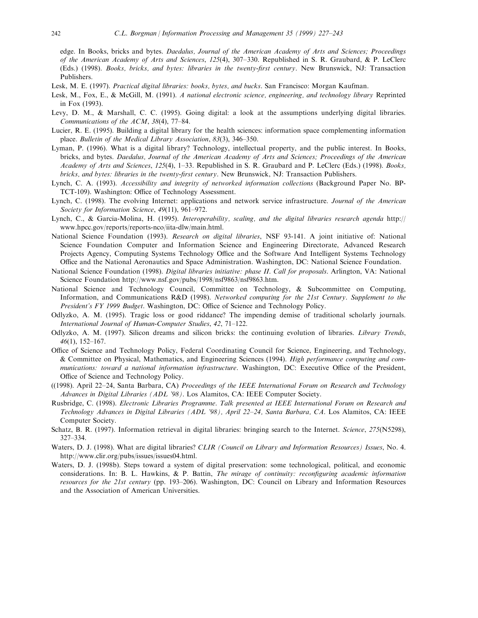edge. In Books, bricks and bytes. Daedalus, Journal of the American Academy of Arts and Sciences; Proceedings of the American Academy of Arts and Sciences, 125(4), 307-330. Republished in S. R. Graubard, & P. LeClerc (Eds.) (1998). Books, bricks, and bytes: libraries in the twenty-first century. New Brunswick, NJ: Transaction Publishers.

- Lesk, M. E. (1997). Practical digital libraries: books, bytes, and bucks. San Francisco: Morgan Kaufman.
- Lesk, M., Fox, E., & McGill, M. (1991). A national electronic science, engineering, and technology library Reprinted in Fox (1993).
- Levy, D. M., & Marshall, C. C. (1995). Going digital: a look at the assumptions underlying digital libraries. Communications of the ACM, 38(4), 77-84.
- Lucier, R. E. (1995). Building a digital library for the health sciences: information space complementing information place. Bulletin of the Medical Library Association, 83(3), 346–350.
- Lyman, P. (1996). What is a digital library? Technology, intellectual property, and the public interest. In Books, bricks, and bytes. Daedalus, Journal of the American Academy of Arts and Sciences; Proceedings of the American Academy of Arts and Sciences, 125(4), 1–33. Republished in S. R. Graubard and P. LeClerc (Eds.) (1998). Books, bricks, and bytes: libraries in the twenty-first century. New Brunswick, NJ: Transaction Publishers.
- Lynch, C. A. (1993). Accessibility and integrity of networked information collections (Background Paper No. BP-TCT-109). Washington: Office of Technology Assessment.
- Lynch, C. (1998). The evolving Internet: applications and network service infrastructure. Journal of the American Society for Information Science, 49(11), 961-972.
- Lynch, C., & Garcia-Molina, H. (1995). Interoperability, scaling, and the digital libraries research agenda http:// www.hpcc.gov/reports/reports-nco/iita-dlw/main.html.
- National Science Foundation (1993). Research on digital libraries, NSF 93-141. A joint initiative of: National Science Foundation Computer and Information Science and Engineering Directorate, Advanced Research Projects Agency, Computing Systems Technology Office and the Software And Intelligent Systems Technology Office and the National Aeronautics and Space Administration. Washington, DC: National Science Foundation.
- National Science Foundation (1998). Digital libraries initiative: phase II. Call for proposals. Arlington, VA: National Science Foundation http://www.nsf.gov/pubs/1998/nsf9863/nsf9863.htm.
- National Science and Technology Council, Committee on Technology, & Subcommittee on Computing, Information, and Communications R&D (1998). Networked computing for the 21st Century. Supplement to the *President's FY 1999 Budget.* Washington, DC: Office of Science and Technology Policy.
- Odlyzko, A. M. (1995). Tragic loss or good riddance? The impending demise of traditional scholarly journals. International Journal of Human-Computer Studies, 42, 71-122.
- Odlyzko, A. M. (1997). Silicon dreams and silicon bricks: the continuing evolution of libraries. Library Trends,  $46(1), 152-167.$
- Office of Science and Technology Policy, Federal Coordinating Council for Science, Engineering, and Technology, & Committee on Physical, Mathematics, and Engineering Sciences (1994). High performance computing and communications: toward a national information infrastructure. Washington, DC: Executive Office of the President, Office of Science and Technology Policy.
- ((1998). April 22–24, Santa Barbara, CA) Proceedings of the IEEE International Forum on Research and Technology Advances in Digital Libraries (ADL '98). Los Alamitos, CA: IEEE Computer Society.
- Rusbridge, C. (1998). Electronic Libraries Programme. Talk presented at IEEE International Forum on Research and Technology Advances in Digital Libraries (ADL '98), April 22-24, Santa Barbara, CA. Los Alamitos, CA: IEEE Computer Society.
- Schatz, B. R. (1997). Information retrieval in digital libraries: bringing search to the Internet. Science, 275(N5298),  $327 - 334.$
- Waters, D. J. (1998). What are digital libraries? CLIR (Council on Library and Information Resources) Issues, No. 4. http://www.clir.org/pubs/issues/issues04.html.
- Waters, D. J. (1998b). Steps toward a system of digital preservation: some technological, political, and economic considerations. In: B. L. Hawkins, & P. Battin, The mirage of continuity: reconfiguring academic information resources for the 21st century (pp. 193–206). Washington, DC: Council on Library and Information Resources and the Association of American Universities.